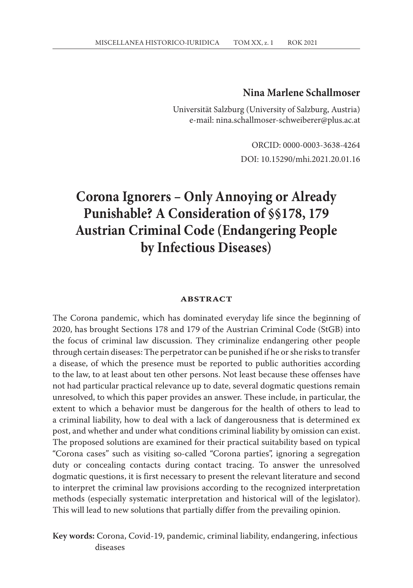# **Nina Marlene Schallmoser**

Universität Salzburg (University of Salzburg, Austria) e-mail: nina.schallmoser-schweiberer@plus.ac.at

> ORCID: 0000-0003-3638-4264 DOI: 10.15290/mhi.2021.20.01.16

# **Corona Ignorers – Only Annoying or Already Punishable? A Consideration of §§178, 179 Austrian Criminal Code (Endangering People by Infectious Diseases)**

#### **abstract**

The Corona pandemic, which has dominated everyday life since the beginning of 2020, has brought Sections 178 and 179 of the Austrian Criminal Code (StGB) into the focus of criminal law discussion. They criminalize endangering other people through certain diseases: The perpetrator can be punished if he or she risks to transfer a disease, of which the presence must be reported to public authorities according to the law, to at least about ten other persons. Not least because these offenses have not had particular practical relevance up to date, several dogmatic questions remain unresolved, to which this paper provides an answer. These include, in particular, the extent to which a behavior must be dangerous for the health of others to lead to a criminal liability, how to deal with a lack of dangerousness that is determined ex post, and whether and under what conditions criminal liability by omission can exist. The proposed solutions are examined for their practical suitability based on typical "Corona cases" such as visiting so-called "Corona parties", ignoring a segregation duty or concealing contacts during contact tracing. To answer the unresolved dogmatic questions, it is first necessary to present the relevant literature and second to interpret the criminal law provisions according to the recognized interpretation methods (especially systematic interpretation and historical will of the legislator). This will lead to new solutions that partially differ from the prevailing opinion.

**Key words:** Corona, Covid-19, pandemic, criminal liability, endangering, infectious diseases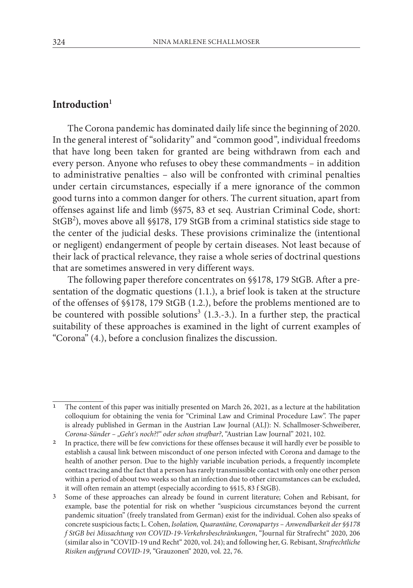# **Introduction<sup>1</sup>**

The Corona pandemic has dominated daily life since the beginning of 2020. In the general interest of "solidarity" and "common good", individual freedoms that have long been taken for granted are being withdrawn from each and every person. Anyone who refuses to obey these commandments – in addition to administrative penalties – also will be confronted with criminal penalties under certain circumstances, especially if a mere ignorance of the common good turns into a common danger for others. The current situation, apart from offenses against life and limb (§§75, 83 et seq. Austrian Criminal Code, short: StGB<sup>2</sup>), moves above all §§178, 179 StGB from a criminal statistics side stage to the center of the judicial desks. These provisions criminalize the (intentional or negligent) endangerment of people by certain diseases. Not least because of their lack of practical relevance, they raise a whole series of doctrinal questions that are sometimes answered in very different ways.

The following paper therefore concentrates on §§178, 179 StGB. After a presentation of the dogmatic questions (1.1.), a brief look is taken at the structure of the offenses of §§178, 179 StGB (1.2.), before the problems mentioned are to be countered with possible solutions<sup>3</sup> (1.3.-3.). In a further step, the practical suitability of these approaches is examined in the light of current examples of "Corona" (4.), before a conclusion finalizes the discussion.

<sup>1</sup> The content of this paper was initially presented on March 26, 2021, as a lecture at the habilitation colloquium for obtaining the venia for "Criminal Law and Criminal Procedure Law". The paper is already published in German in the Austrian Law Journal (ALJ): N. Schallmoser-Schweiberer, *Corona-Sünder – "Gehtʹs noch?!" oder schon strafbar?*, "Austrian Law Journal" 2021, 102. 2 In practice, there will be few convictions for these offenses because it will hardly ever be possible to

establish a causal link between misconduct of one person infected with Corona and damage to the health of another person. Due to the highly variable incubation periods, a frequently incomplete contact tracing and the fact that a person has rarely transmissible contact with only one other person within a period of about two weeks so that an infection due to other circumstances can be excluded, it will often remain an attempt (especially according to §§15, 83 f StGB).

<sup>3</sup> Some of these approaches can already be found in current literature; Cohen and Rebisant, for example, base the potential for risk on whether "suspicious circumstances beyond the current pandemic situation" (freely translated from German) exist for the individual. Cohen also speaks of concrete suspicious facts; L. Cohen, *Isolation, Quarantäne, Coronapartys – Anwendbarkeit der §§178 f StGB bei Missachtung von COVID-19-Verkehrsbeschränkungen*, "Journal für Strafrecht" 2020, 206 (similar also in "COVID-19 und Recht" 2020, vol. 24); and following her, G. Rebisant, *Strafrechtliche Risiken aufgrund COVID-19*, "Grauzonen" 2020, vol. 22, 76.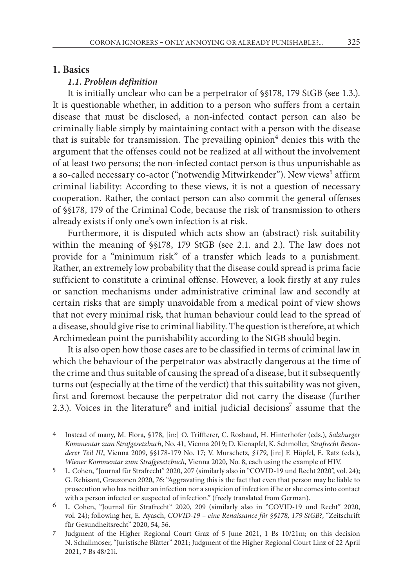## **1. Basics**

## *1.1. Problem definition*

It is initially unclear who can be a perpetrator of §§178, 179 StGB (see 1.3.). It is questionable whether, in addition to a person who suffers from a certain disease that must be disclosed, a non-infected contact person can also be criminally liable simply by maintaining contact with a person with the disease that is suitable for transmission. The prevailing opinion<sup>4</sup> denies this with the argument that the offenses could not be realized at all without the involvement of at least two persons; the non-infected contact person is thus unpunishable as a so-called necessary co-actor ("notwendig Mitwirkender"). New views<sup>5</sup> affirm criminal liability: According to these views, it is not a question of necessary cooperation. Rather, the contact person can also commit the general offenses of §§178, 179 of the Criminal Code, because the risk of transmission to others already exists if only one's own infection is at risk.

Furthermore, it is disputed which acts show an (abstract) risk suitability within the meaning of §§178, 179 StGB (see 2.1. and 2.). The law does not provide for a "minimum risk" of a transfer which leads to a punishment. Rather, an extremely low probability that the disease could spread is prima facie sufficient to constitute a criminal offense. However, a look firstly at any rules or sanction mechanisms under administrative criminal law and secondly at certain risks that are simply unavoidable from a medical point of view shows that not every minimal risk, that human behaviour could lead to the spread of a disease, should give rise to criminal liability. The question is therefore, at which Archimedean point the punishability according to the StGB should begin.

It is also open how those cases are to be classified in terms of criminal law in which the behaviour of the perpetrator was abstractly dangerous at the time of the crime and thus suitable of causing the spread of a disease, but it subsequently turns out (especially at the time of the verdict) that this suitability was not given, first and foremost because the perpetrator did not carry the disease (further 2.3.). Voices in the literature<sup>6</sup> and initial judicial decisions<sup>7</sup> assume that the

<sup>4</sup> Instead of many, M. Flora, §178, [in:] O. Triffterer, C. Rosbaud, H. Hinterhofer (eds.), *Salzburger Kommentar zum Strafgesetzbuch*, No. 41, Vienna 2019; D. Kienapfel, K. Schmoller, *Strafrecht Besonderer Teil III*, Vienna 2009, §§178-179 No. 17; V. Murschetz, *§179*, [in:] F. Höpfel, E. Ratz (eds.), *Wiener Kommentar zum Strafgesetzbuch*, Vienna 2020, No. 8, each using the example of HIV.

<sup>5</sup> L. Cohen, "Journal für Strafrecht" 2020, 207 (similarly also in "COVID-19 und Recht 2020", vol. 24); G. Rebisant, Grauzonen 2020, 76: "Aggravating this is the fact that even that person may be liable to prosecution who has neither an infection nor a suspicion of infection if he or she comes into contact with a person infected or suspected of infection." (freely translated from German).

<sup>6</sup> L. Cohen, "Journal für Strafrecht" 2020, 209 (similarly also in "COVID-19 und Recht" 2020, vol. 24); following her, E. Ayasch, *COVID-19 – eine Renaissance für §§178, 179 StGB?*, "Zeitschrift für Gesundheitsrecht" 2020, 54, 56.

<sup>7</sup> Judgment of the Higher Regional Court Graz of 5 June 2021, 1 Bs 10/21m; on this decision N. Schallmoser, "Juristische Blätter" 2021; Judgment of the Higher Regional Court Linz of 22 April 2021, 7 Bs 48/21i.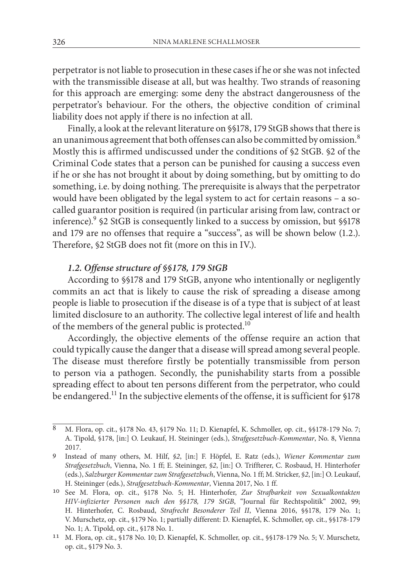perpetrator is not liable to prosecution in these cases if he or she was not infected with the transmissible disease at all, but was healthy. Two strands of reasoning for this approach are emerging: some deny the abstract dangerousness of the perpetrator's behaviour. For the others, the objective condition of criminal liability does not apply if there is no infection at all.

Finally, a look at the relevant literature on §§178, 179 StGB shows that there is an unanimous agreement that both offenses can also be committed by omission.<sup>8</sup> Mostly this is affirmed undiscussed under the conditions of §2 StGB. §2 of the Criminal Code states that a person can be punished for causing a success even if he or she has not brought it about by doing something, but by omitting to do something, i.e. by doing nothing. The prerequisite is always that the perpetrator would have been obligated by the legal system to act for certain reasons – a socalled guarantor position is required (in particular arising from law, contract or inference).9 §2 StGB is consequently linked to a success by omission, but §§178 and 179 are no offenses that require a "success", as will be shown below (1.2.). Therefore, §2 StGB does not fit (more on this in IV.).

# *1.2. Offense structure of §§178, 179 StGB*

According to §§178 and 179 StGB, anyone who intentionally or negligently commits an act that is likely to cause the risk of spreading a disease among people is liable to prosecution if the disease is of a type that is subject of at least limited disclosure to an authority. The collective legal interest of life and health of the members of the general public is protected.<sup>10</sup>

Accordingly, the objective elements of the offense require an action that could typically cause the danger that a disease will spread among several people. The disease must therefore firstly be potentially transmissible from person to person via a pathogen. Secondly, the punishability starts from a possible spreading effect to about ten persons different from the perpetrator, who could be endangered.<sup>11</sup> In the subjective elements of the offense, it is sufficient for §178

<sup>8</sup> M. Flora, op. cit., §178 No. 43, §179 No. 11; D. Kienapfel, K. Schmoller, op. cit., §§178-179 No. 7; A. Tipold, §178, [in:] O. Leukauf, H. Steininger (eds.), *Strafgesetzbuch-Kommentar*, No. 8, Vienna 2017.

<sup>9</sup> Instead of many others, M. Hilf, *§2*, [in:] F. Höpfel, E. Ratz (eds.), *Wiener Kommentar zum Strafgesetzbuch*, Vienna, No. 1 ff; E. Steininger, *§2*, [in:] O. Triffterer, C. Rosbaud, H. Hinterhofer (eds.), *Salzburger Kommentar zum Strafgesetzbuch*, Vienna, No. 1 ff; M. Stricker, *§2*, [in:] O. Leukauf, H. Steininger (eds.), *Strafgesetzbuch-Kommentar*, Vienna 2017, No. 1 ff. <sup>10</sup> See M. Flora, op. cit., §178 No. 5; H. Hinterhofer, *Zur Strafbarkeit von Sexualkontakten* 

*HIV-infizierter Personen nach den §§178, 179 StGB*, "Journal für Rechtspolitik" 2002, 99; H. Hinterhofer, C. Rosbaud, *Strafrecht Besonderer Teil II*, Vienna 2016, §§178, 179 No. 1; V. Murschetz, op. cit., §179 No. 1; partially different: D. Kienapfel, K. Schmoller, op. cit., §§178-179 No. 1; A. Tipold, op. cit., §178 No. 1. 11 M. Flora, op. cit., §178 No. 10; D. Kienapfel, K. Schmoller, op. cit., §§178-179 No. 5; V. Murschetz*,* 

op. cit., §179 No. 3.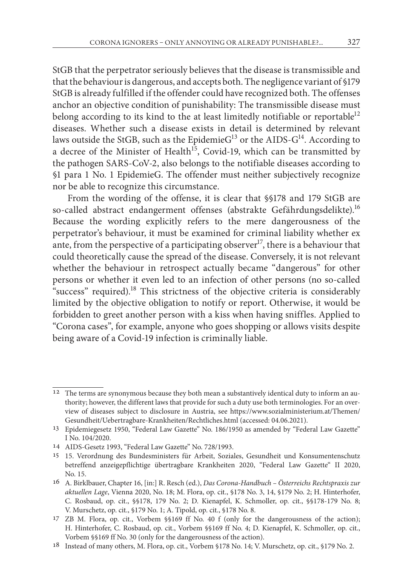StGB that the perpetrator seriously believes that the disease is transmissible and that the behaviour is dangerous, and accepts both. The negligence variant of §179 StGB is already fulfilled if the offender could have recognized both. The offenses anchor an objective condition of punishability: The transmissible disease must belong according to its kind to the at least limitedly notifiable or reportable<sup>12</sup> diseases. Whether such a disease exists in detail is determined by relevant laws outside the StGB, such as the EpidemieG<sup>13</sup> or the AIDS-G<sup>14</sup>. According to a decree of the Minister of Health<sup>15</sup>, Covid-19, which can be transmitted by the pathogen SARS-CoV-2, also belongs to the notifiable diseases according to §1 para 1 No. 1 EpidemieG. The offender must neither subjectively recognize nor be able to recognize this circumstance.

From the wording of the offense, it is clear that §§178 and 179 StGB are so-called abstract endangerment offenses (abstrakte Gefährdungsdelikte).<sup>16</sup> Because the wording explicitly refers to the mere dangerousness of the perpetrator's behaviour, it must be examined for criminal liability whether ex ante, from the perspective of a participating observer<sup>17</sup>, there is a behaviour that could theoretically cause the spread of the disease. Conversely, it is not relevant whether the behaviour in retrospect actually became "dangerous" for other persons or whether it even led to an infection of other persons (no so-called "success" required).<sup>18</sup> This strictness of the objective criteria is considerably limited by the objective obligation to notify or report. Otherwise, it would be forbidden to greet another person with a kiss when having sniffles. Applied to "Corona cases", for example, anyone who goes shopping or allows visits despite being aware of a Covid-19 infection is criminally liable.

<sup>12</sup> The terms are synonymous because they both mean a substantively identical duty to inform an authority; however, the different laws that provide for such a duty use both terminologies. For an overview of diseases subject to disclosure in Austria, see https://www.sozialministerium.at/Themen/ Gesundheit/Uebertragbare-Krankheiten/Rechtliches.html (accessed: 04.06.2021).

<sup>13</sup> Epidemiegesetz 1950, "Federal Law Gazette" No. 186/1950 as amended by "Federal Law Gazette" I No. 104/2020.

<sup>14</sup> AIDS-Gesetz 1993, "Federal Law Gazette" No. 728/1993.

<sup>15</sup> 15. Verordnung des Bundesministers für Arbeit, Soziales, Gesundheit und Konsumentenschutz betreffend anzeigepflichtige übertragbare Krankheiten 2020, "Federal Law Gazette" II 2020, No. 15.

<sup>16</sup> A. Birklbauer, Chapter 16, [in:] R. Resch (ed.), *Das Corona-Handbuch – Österreichs Rechtspraxis zur aktuellen Lage*, Vienna 2020, No. 18; M. Flora, op. cit., §178 No. 3, 14, §179 No. 2; H. Hinterhofer, C. Rosbaud, op. cit., §§178, 179 No. 2; D. Kienapfel, K. Schmoller, op. cit., §§178-179 No. 8; V. Murschetz, op. cit., §179 No. 1; A. Tipold, op. cit., §178 No. 8.

<sup>17</sup> ZB M. Flora, op. cit., Vorbem §§169 ff No. 40 f (only for the dangerousness of the action); H. Hinterhofer, C. Rosbaud, op. cit., Vorbem §§169 ff No. 4; D. Kienapfel, K. Schmoller, op. cit., Vorbem §§169 ff No. 30 (only for the dangerousness of the action).

<sup>18</sup> Instead of many others, M. Flora, op. cit., Vorbem §178 No. 14; V. Murschetz, op. cit., §179 No. 2.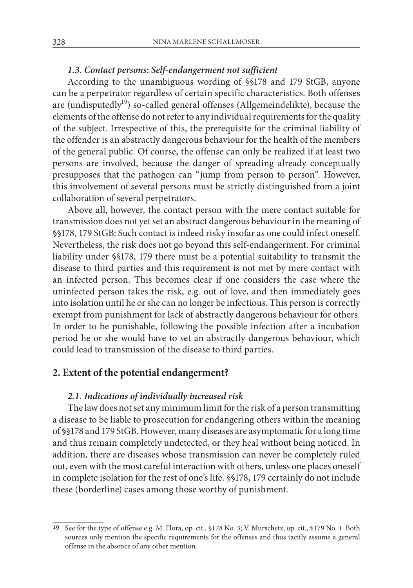## *1.3. Contact persons: Self-endangerment not sufficient*

According to the unambiguous wording of §§178 and 179 StGB, anyone can be a perpetrator regardless of certain specific characteristics. Both offenses are (undisputedly<sup>19</sup>) so-called general offenses (Allgemeindelikte), because the elements of the offense do not refer to any individual requirements for the quality of the subject. Irrespective of this, the prerequisite for the criminal liability of the offender is an abstractly dangerous behaviour for the health of the members of the general public. Of course, the offense can only be realized if at least two persons are involved, because the danger of spreading already conceptually presupposes that the pathogen can "jump from person to person". However, this involvement of several persons must be strictly distinguished from a joint collaboration of several perpetrators.

Above all, however, the contact person with the mere contact suitable for transmission does not yet set an abstract dangerous behaviour in the meaning of §§178, 179 StGB: Such contact is indeed risky insofar as one could infect oneself. Nevertheless, the risk does not go beyond this self-endangerment. For criminal liability under §§178, 179 there must be a potential suitability to transmit the disease to third parties and this requirement is not met by mere contact with an infected person. This becomes clear if one considers the case where the uninfected person takes the risk, e.g. out of love, and then immediately goes into isolation until he or she can no longer be infectious. This person is correctly exempt from punishment for lack of abstractly dangerous behaviour for others. In order to be punishable, following the possible infection after a incubation period he or she would have to set an abstractly dangerous behaviour, which could lead to transmission of the disease to third parties.

# **2. Extent of the potential endangerment?**

#### *2.1. Indications of individually increased risk*

The law does not set any minimum limit for the risk of a person transmitting a disease to be liable to prosecution for endangering others within the meaning of §§178 and 179 StGB. However, many diseases are asymptomatic for a long time and thus remain completely undetected, or they heal without being noticed. In addition, there are diseases whose transmission can never be completely ruled out, even with the most careful interaction with others, unless one places oneself in complete isolation for the rest of one's life. §§178, 179 certainly do not include these (borderline) cases among those worthy of punishment.

<sup>19</sup> See for the type of offense e.g. M. Flora, op. cit., §178 No. 3; V. Murschetz, op. cit., §179 No. 1. Both sources only mention the specific requirements for the offenses and thus tacitly assume a general offense in the absence of any other mention.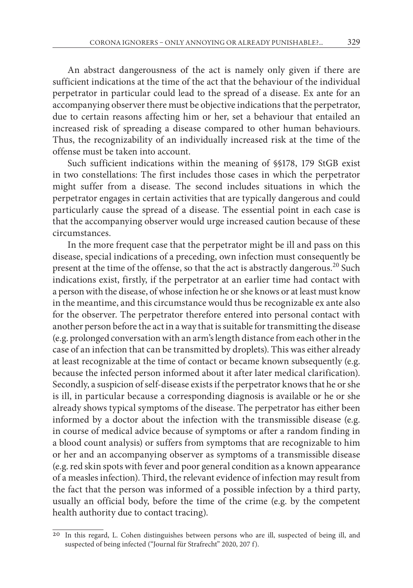An abstract dangerousness of the act is namely only given if there are sufficient indications at the time of the act that the behaviour of the individual perpetrator in particular could lead to the spread of a disease. Ex ante for an accompanying observer there must be objective indications that the perpetrator, due to certain reasons affecting him or her, set a behaviour that entailed an increased risk of spreading a disease compared to other human behaviours. Thus, the recognizability of an individually increased risk at the time of the offense must be taken into account.

Such sufficient indications within the meaning of §§178, 179 StGB exist in two constellations: The first includes those cases in which the perpetrator might suffer from a disease. The second includes situations in which the perpetrator engages in certain activities that are typically dangerous and could particularly cause the spread of a disease. The essential point in each case is that the accompanying observer would urge increased caution because of these circumstances.

In the more frequent case that the perpetrator might be ill and pass on this disease, special indications of a preceding, own infection must consequently be present at the time of the offense, so that the act is abstractly dangerous.<sup>20</sup> Such indications exist, firstly, if the perpetrator at an earlier time had contact with a person with the disease, of whose infection he or she knows or at least must know in the meantime, and this circumstance would thus be recognizable ex ante also for the observer. The perpetrator therefore entered into personal contact with another person before the act in a way that is suitable for transmitting the disease (e.g. prolonged conversation with an arm's length distance from each other in the case of an infection that can be transmitted by droplets). This was either already at least recognizable at the time of contact or became known subsequently (e.g. because the infected person informed about it after later medical clarification). Secondly, a suspicion of self-disease exists if the perpetrator knows that he or she is ill, in particular because a corresponding diagnosis is available or he or she already shows typical symptoms of the disease. The perpetrator has either been informed by a doctor about the infection with the transmissible disease (e.g. in course of medical advice because of symptoms or after a random finding in a blood count analysis) or suffers from symptoms that are recognizable to him or her and an accompanying observer as symptoms of a transmissible disease (e.g. red skin spots with fever and poor general condition as a known appearance of a measles infection). Third, the relevant evidence of infection may result from the fact that the person was informed of a possible infection by a third party, usually an official body, before the time of the crime (e.g. by the competent health authority due to contact tracing).

<sup>20</sup> In this regard, L. Cohen distinguishes between persons who are ill, suspected of being ill, and suspected of being infected ("Journal für Strafrecht" 2020, 207 f).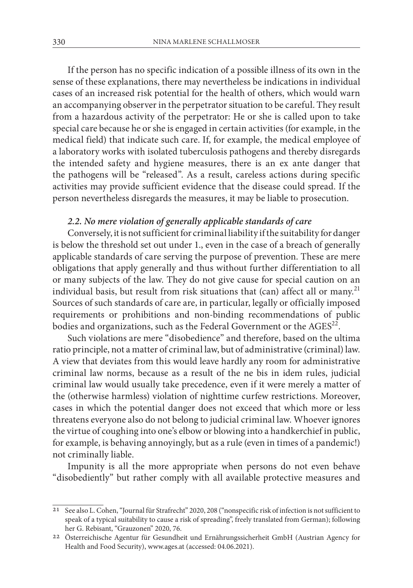If the person has no specific indication of a possible illness of its own in the sense of these explanations, there may nevertheless be indications in individual cases of an increased risk potential for the health of others, which would warn an accompanying observer in the perpetrator situation to be careful. They result from a hazardous activity of the perpetrator: He or she is called upon to take special care because he or she is engaged in certain activities (for example, in the medical field) that indicate such care. If, for example, the medical employee of a laboratory works with isolated tuberculosis pathogens and thereby disregards the intended safety and hygiene measures, there is an ex ante danger that the pathogens will be "released". As a result, careless actions during specific activities may provide sufficient evidence that the disease could spread. If the person nevertheless disregards the measures, it may be liable to prosecution.

## *2.2. No mere violation of generally applicable standards of care*

Conversely, it is not sufficient for criminal liability if the suitability for danger is below the threshold set out under 1., even in the case of a breach of generally applicable standards of care serving the purpose of prevention. These are mere obligations that apply generally and thus without further differentiation to all or many subjects of the law. They do not give cause for special caution on an individual basis, but result from risk situations that (can) affect all or many.<sup>21</sup> Sources of such standards of care are, in particular, legally or officially imposed requirements or prohibitions and non-binding recommendations of public bodies and organizations, such as the Federal Government or the AGES<sup>22</sup>.

Such violations are mere "disobedience" and therefore, based on the ultima ratio principle, not a matter of criminal law, but of administrative (criminal) law. A view that deviates from this would leave hardly any room for administrative criminal law norms, because as a result of the ne bis in idem rules, judicial criminal law would usually take precedence, even if it were merely a matter of the (otherwise harmless) violation of nighttime curfew restrictions. Moreover, cases in which the potential danger does not exceed that which more or less threatens everyone also do not belong to judicial criminal law. Whoever ignores the virtue of coughing into one's elbow or blowing into a handkerchief in public, for example, is behaving annoyingly, but as a rule (even in times of a pandemic!) not criminally liable.

Impunity is all the more appropriate when persons do not even behave "disobediently" but rather comply with all available protective measures and

<sup>21</sup> See also L. Cohen, "Journal für Strafrecht" 2020, 208 ("nonspecific risk of infection is not sufficient to speak of a typical suitability to cause a risk of spreading", freely translated from German); following

<sup>&</sup>lt;sup>22</sup> Österreichische Agentur für Gesundheit und Ernährungssicherheit GmbH (Austrian Agency for Health and Food Security), www.ages.at (accessed: 04.06.2021).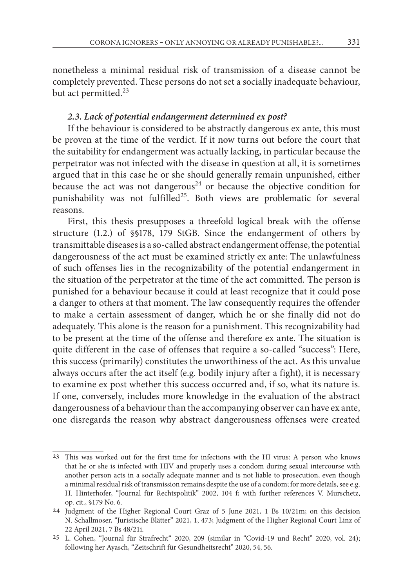nonetheless a minimal residual risk of transmission of a disease cannot be completely prevented. These persons do not set a socially inadequate behaviour, but act permitted.<sup>23</sup>

# *2.3. Lack of potential endangerment determined ex post?*

If the behaviour is considered to be abstractly dangerous ex ante, this must be proven at the time of the verdict. If it now turns out before the court that the suitability for endangerment was actually lacking, in particular because the perpetrator was not infected with the disease in question at all, it is sometimes argued that in this case he or she should generally remain unpunished, either because the act was not dangerous<sup>24</sup> or because the objective condition for punishability was not fulfilled<sup>25</sup>. Both views are problematic for several reasons.

First, this thesis presupposes a threefold logical break with the offense structure (1.2.) of §§178, 179 StGB. Since the endangerment of others by transmittable diseases is a so-called abstract endangerment offense, the potential dangerousness of the act must be examined strictly ex ante: The unlawfulness of such offenses lies in the recognizability of the potential endangerment in the situation of the perpetrator at the time of the act committed. The person is punished for a behaviour because it could at least recognize that it could pose a danger to others at that moment. The law consequently requires the offender to make a certain assessment of danger, which he or she finally did not do adequately. This alone is the reason for a punishment. This recognizability had to be present at the time of the offense and therefore ex ante. The situation is quite different in the case of offenses that require a so-called "success": Here, this success (primarily) constitutes the unworthiness of the act. As this unvalue always occurs after the act itself (e.g. bodily injury after a fight), it is necessary to examine ex post whether this success occurred and, if so, what its nature is. If one, conversely, includes more knowledge in the evaluation of the abstract dangerousness of a behaviour than the accompanying observer can have ex ante, one disregards the reason why abstract dangerousness offenses were created

<sup>23</sup> This was worked out for the first time for infections with the HI virus: A person who knows that he or she is infected with HIV and properly uses a condom during sexual intercourse with another person acts in a socially adequate manner and is not liable to prosecution, even though a minimal residual risk of transmission remains despite the use of a condom; for more details, see e.g. H. Hinterhofer, "Journal für Rechtspolitik" 2002, 104 f; with further references V. Murschetz, op. cit., §179 No. 6.

<sup>24</sup> Judgment of the Higher Regional Court Graz of 5 June 2021, 1 Bs 10/21m; on this decision N. Schallmoser, "Juristische Blätter" 2021, 1, 473; Judgment of the Higher Regional Court Linz of 22 April 2021, 7 Bs 48/21i.

<sup>25</sup> L. Cohen, "Journal für Strafrecht" 2020, 209 (similar in "Covid-19 und Recht" 2020, vol. 24); following her Ayasch, "Zeitschrift für Gesundheitsrecht" 2020, 54, 56.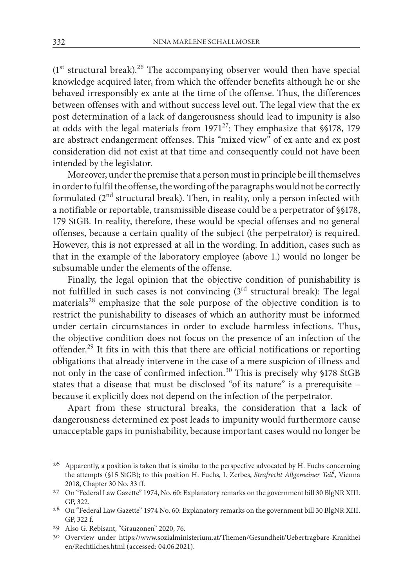$(1<sup>st</sup> structural break).<sup>26</sup> The accompanying observer would then have special$ knowledge acquired later, from which the offender benefits although he or she behaved irresponsibly ex ante at the time of the offense. Thus, the differences between offenses with and without success level out. The legal view that the ex post determination of a lack of dangerousness should lead to impunity is also at odds with the legal materials from  $1971^{27}$ : They emphasize that §§178, 179 are abstract endangerment offenses. This "mixed view" of ex ante and ex post consideration did not exist at that time and consequently could not have been intended by the legislator.

Moreover, under the premise that a person must in principle be ill themselves in order to fulfil the offense, the wording of the paragraphs would not be correctly formulated (2nd structural break). Then, in reality, only a person infected with a notifiable or reportable, transmissible disease could be a perpetrator of §§178, 179 StGB. In reality, therefore, these would be special offenses and no general offenses, because a certain quality of the subject (the perpetrator) is required. However, this is not expressed at all in the wording. In addition, cases such as that in the example of the laboratory employee (above 1.) would no longer be subsumable under the elements of the offense.

Finally, the legal opinion that the objective condition of punishability is not fulfilled in such cases is not convincing  $(3<sup>rd</sup>$  structural break): The legal materials<sup>28</sup> emphasize that the sole purpose of the objective condition is to restrict the punishability to diseases of which an authority must be informed under certain circumstances in order to exclude harmless infections. Thus, the objective condition does not focus on the presence of an infection of the offender.29 It fits in with this that there are official notifications or reporting obligations that already intervene in the case of a mere suspicion of illness and not only in the case of confirmed infection.<sup>30</sup> This is precisely why §178 StGB states that a disease that must be disclosed "of its nature" is a prerequisite – because it explicitly does not depend on the infection of the perpetrator.

Apart from these structural breaks, the consideration that a lack of dangerousness determined ex post leads to impunity would furthermore cause unacceptable gaps in punishability, because important cases would no longer be

<sup>26</sup> Apparently, a position is taken that is similar to the perspective advocated by H. Fuchs concerning the attempts (§15 StGB); to this position H. Fuchs, I. Zerbes, *Strafrecht Allgemeiner Teil<sup>I</sup>* , Vienna 2018, Chapter 30 No. 33 ff.

<sup>27</sup> On "Federal Law Gazette" 1974, No. 60: Explanatory remarks on the government bill 30 BlgNR XIII. GP, 322.

<sup>28</sup> On "Federal Law Gazette" 1974 No. 60: Explanatory remarks on the government bill 30 BlgNR XIII. GP, 322 f.

<sup>29</sup> Also G. Rebisant, "Grauzonen" 2020, 76.

<sup>30</sup> Overview under https://www.sozialministerium.at/Themen/Gesundheit/Uebertragbare-Krankhei en/Rechtliches.html (accessed: 04.06.2021).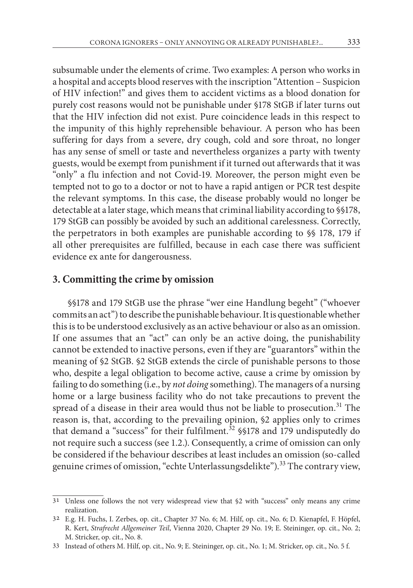subsumable under the elements of crime. Two examples: A person who works in a hospital and accepts blood reserves with the inscription "Attention – Suspicion of HIV infection!" and gives them to accident victims as a blood donation for purely cost reasons would not be punishable under §178 StGB if later turns out that the HIV infection did not exist. Pure coincidence leads in this respect to the impunity of this highly reprehensible behaviour. A person who has been suffering for days from a severe, dry cough, cold and sore throat, no longer has any sense of smell or taste and nevertheless organizes a party with twenty guests, would be exempt from punishment if it turned out afterwards that it was "only" a flu infection and not Covid-19. Moreover, the person might even be tempted not to go to a doctor or not to have a rapid antigen or PCR test despite the relevant symptoms. In this case, the disease probably would no longer be detectable at a later stage, which means that criminal liability according to §§178, 179 StGB can possibly be avoided by such an additional carelessness. Correctly, the perpetrators in both examples are punishable according to §§ 178, 179 if all other prerequisites are fulfilled, because in each case there was sufficient evidence ex ante for dangerousness.

# **3. Committing the crime by omission**

§§178 and 179 StGB use the phrase "wer eine Handlung begeht" ("whoever commits an act") to describe the punishable behaviour. It is questionable whether this is to be understood exclusively as an active behaviour or also as an omission. If one assumes that an "act" can only be an active doing, the punishability cannot be extended to inactive persons, even if they are "guarantors" within the meaning of §2 StGB. §2 StGB extends the circle of punishable persons to those who, despite a legal obligation to become active, cause a crime by omission by failing to do something (i.e., by *not doing* something). The managers of a nursing home or a large business facility who do not take precautions to prevent the spread of a disease in their area would thus not be liable to prosecution.<sup>31</sup> The reason is, that, according to the prevailing opinion, §2 applies only to crimes that demand a "success" for their fulfilment.<sup>32</sup> \$\$178 and 179 undisputedly do not require such a success (see 1.2.). Consequently, a crime of omission can only be considered if the behaviour describes at least includes an omission (so-called genuine crimes of omission, "echte Unterlassungsdelikte").<sup>33</sup> The contrary view,

<sup>31</sup> Unless one follows the not very widespread view that §2 with "success" only means any crime realization.

<sup>32</sup> E.g. H. Fuchs, I. Zerbes, op. cit., Chapter 37 No. 6; M. Hilf, op. cit., No. 6; D. Kienapfel, F. Höpfel, R. Kert, *Strafrecht Allgemeiner Teil*, Vienna 2020, Chapter 29 No. 19; E. Steininger, op. cit., No. 2; M. Stricker, op. cit., No. 8.

<sup>33</sup> Instead of others M. Hilf, op. cit., No. 9; E. Steininger, op. cit., No. 1; M. Stricker, op. cit., No. 5 f.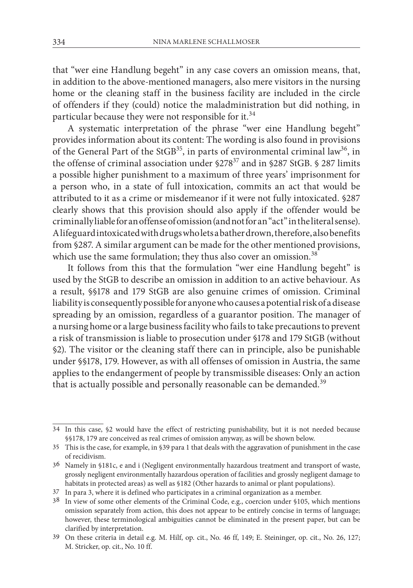that "wer eine Handlung begeht" in any case covers an omission means, that, in addition to the above-mentioned managers, also mere visitors in the nursing home or the cleaning staff in the business facility are included in the circle of offenders if they (could) notice the maladministration but did nothing, in particular because they were not responsible for it.<sup>34</sup>

A systematic interpretation of the phrase "wer eine Handlung begeht" provides information about its content: The wording is also found in provisions of the General Part of the StGB<sup>35</sup>, in parts of environmental criminal law<sup>36</sup>, in the offense of criminal association under  $\S278^{37}$  and in  $\S287$  StGB. § 287 limits a possible higher punishment to a maximum of three years' imprisonment for a person who, in a state of full intoxication, commits an act that would be attributed to it as a crime or misdemeanor if it were not fully intoxicated. §287 clearly shows that this provision should also apply if the offender would be criminally liable for an offense of omission (and not for an "act" in the literal sense). A lifeguard intoxicated with drugs who lets a bather drown, therefore, also benefits from §287. A similar argument can be made for the other mentioned provisions, which use the same formulation; they thus also cover an omission.<sup>38</sup>

It follows from this that the formulation "wer eine Handlung begeht" is used by the StGB to describe an omission in addition to an active behaviour. As a result, §§178 and 179 StGB are also genuine crimes of omission. Criminal liability is consequently possible for anyone who causes a potential risk of a disease spreading by an omission, regardless of a guarantor position. The manager of a nursing home or a large business facility who fails to take precautions to prevent a risk of transmission is liable to prosecution under §178 and 179 StGB (without §2). The visitor or the cleaning staff there can in principle, also be punishable under §§178, 179. However, as with all offenses of omission in Austria, the same applies to the endangerment of people by transmissible diseases: Only an action that is actually possible and personally reasonable can be demanded.<sup>39</sup>

<sup>34</sup> In this case, §2 would have the effect of restricting punishability, but it is not needed because §§178, 179 are conceived as real crimes of omission anyway, as will be shown below.

<sup>35</sup> This is the case, for example, in §39 para 1 that deals with the aggravation of punishment in the case of recidivism.

<sup>36</sup> Namely in §181c, e and i (Negligent environmentally hazardous treatment and transport of waste, grossly negligent environmentally hazardous operation of facilities and grossly negligent damage to habitats in protected areas) as well as §182 (Other hazards to animal or plant populations).

<sup>37</sup> In para 3, where it is defined who participates in a criminal organization as a member.

<sup>38</sup> In view of some other elements of the Criminal Code, e.g., coercion under §105, which mentions omission separately from action, this does not appear to be entirely concise in terms of language; however, these terminological ambiguities cannot be eliminated in the present paper, but can be clarified by interpretation.

<sup>39</sup> On these criteria in detail e.g. M. Hilf, op. cit., No. 46 ff, 149; E. Steininger, op. cit., No. 26, 127; M. Stricker, op. cit., No. 10 ff.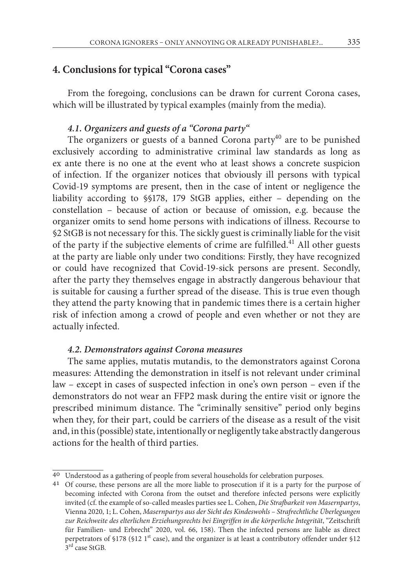# **4. Conclusions for typical "Corona cases"**

From the foregoing, conclusions can be drawn for current Corona cases, which will be illustrated by typical examples (mainly from the media).

## *4.1. Organizers and guests of a "Corona party"*

The organizers or guests of a banned Corona party<sup>40</sup> are to be punished exclusively according to administrative criminal law standards as long as ex ante there is no one at the event who at least shows a concrete suspicion of infection. If the organizer notices that obviously ill persons with typical Covid-19 symptoms are present, then in the case of intent or negligence the liability according to §§178, 179 StGB applies, either – depending on the constellation – because of action or because of omission, e.g. because the organizer omits to send home persons with indications of illness. Recourse to §2 StGB is not necessary for this. The sickly guest is criminally liable for the visit of the party if the subjective elements of crime are fulfilled.<sup>41</sup> All other guests at the party are liable only under two conditions: Firstly, they have recognized or could have recognized that Covid-19-sick persons are present. Secondly, after the party they themselves engage in abstractly dangerous behaviour that is suitable for causing a further spread of the disease. This is true even though they attend the party knowing that in pandemic times there is a certain higher risk of infection among a crowd of people and even whether or not they are actually infected.

## *4.2. Demonstrators against Corona measures*

The same applies, mutatis mutandis, to the demonstrators against Corona measures: Attending the demonstration in itself is not relevant under criminal law – except in cases of suspected infection in one's own person – even if the demonstrators do not wear an FFP2 mask during the entire visit or ignore the prescribed minimum distance. The "criminally sensitive" period only begins when they, for their part, could be carriers of the disease as a result of the visit and, in this (possible) state, intentionally or negligently take abstractly dangerous actions for the health of third parties.

<sup>40</sup> Understood as a gathering of people from several households for celebration purposes.

<sup>41</sup> Of course, these persons are all the more liable to prosecution if it is a party for the purpose of becoming infected with Corona from the outset and therefore infected persons were explicitly invited (cf. the example of so-called measles parties see L. Cohen, *Die Strafbarkeit von Masernpartys*, Vienna 2020, 1; L. Cohen, *Masernpartys aus der Sicht des Kindeswohls – Strafrechtliche Überlegungen*  zur Reichweite des elterlichen Erziehungsrechts bei Eingriffen in die körperliche Integrität, "Zeitschrift für Familien- und Erbrecht" 2020, vol. 66, 158). Then the infected persons are liable as direct perpetrators of §178 (§12 1<sup>st</sup> case), and the organizer is at least a contributory offender under §12  $3<sup>rd</sup>$  case StGB.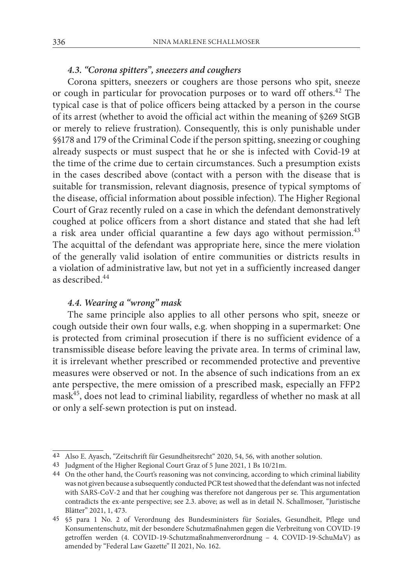## *4.3. "Corona spitters", sneezers and coughers*

Corona spitters, sneezers or coughers are those persons who spit, sneeze or cough in particular for provocation purposes or to ward off others.<sup>42</sup> The typical case is that of police officers being attacked by a person in the course of its arrest (whether to avoid the official act within the meaning of §269 StGB or merely to relieve frustration). Consequently, this is only punishable under §§178 and 179 of the Criminal Code if the person spitting, sneezing or coughing already suspects or must suspect that he or she is infected with Covid-19 at the time of the crime due to certain circumstances. Such a presumption exists in the cases described above (contact with a person with the disease that is suitable for transmission, relevant diagnosis, presence of typical symptoms of the disease, official information about possible infection). The Higher Regional Court of Graz recently ruled on a case in which the defendant demonstratively coughed at police officers from a short distance and stated that she had left a risk area under official quarantine a few days ago without permission. $43$ The acquittal of the defendant was appropriate here, since the mere violation of the generally valid isolation of entire communities or districts results in a violation of administrative law, but not yet in a sufficiently increased danger as described.44

# *4.4. Wearing a "wrong" mask*

The same principle also applies to all other persons who spit, sneeze or cough outside their own four walls, e.g. when shopping in a supermarket: One is protected from criminal prosecution if there is no sufficient evidence of a transmissible disease before leaving the private area. In terms of criminal law, it is irrelevant whether prescribed or recommended protective and preventive measures were observed or not. In the absence of such indications from an ex ante perspective, the mere omission of a prescribed mask, especially an FFP2 mask45, does not lead to criminal liability, regardless of whether no mask at all or only a self-sewn protection is put on instead.

<sup>42</sup> Also E. Ayasch, "Zeitschrift für Gesundheitsrecht" 2020, 54, 56, with another solution.

<sup>43</sup> Judgment of the Higher Regional Court Graz of 5 June 2021, 1 Bs 10/21m.

<sup>44</sup> On the other hand, the Court's reasoning was not convincing, according to which criminal liability was not given because a subsequently conducted PCR test showed that the defendant was not infected with SARS-CoV-2 and that her coughing was therefore not dangerous per se. This argumentation contradicts the ex-ante perspective; see 2.3. above; as well as in detail N. Schallmoser, "Juristische Blätter" 2021, 1, 473.

<sup>45</sup> §5 para 1 No. 2 of Verordnung des Bundesministers für Soziales, Gesundheit, Pflege und Konsumentenschutz, mit der besondere Schutzmaßnahmen gegen die Verbreitung von COVID-19 getroffen werden (4. COVID-19-Schutzmaßnahmenverordnung – 4. COVID-19-SchuMaV) as amended by "Federal Law Gazette" II 2021, No. 162.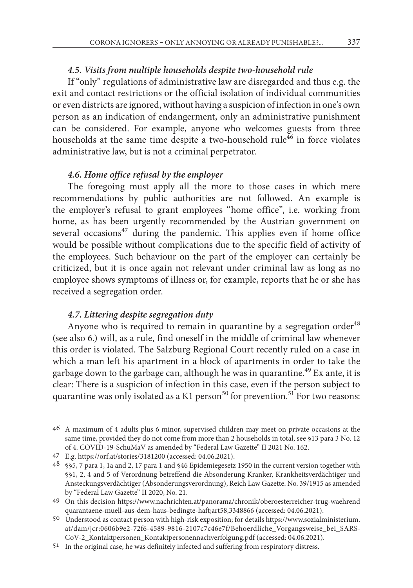## *4.5. Visits from multiple households despite two-household rule*

If "only" regulations of administrative law are disregarded and thus e.g. the exit and contact restrictions or the official isolation of individual communities or even districts are ignored, without having a suspicion of infection in one's own person as an indication of endangerment, only an administrative punishment can be considered. For example, anyone who welcomes guests from three households at the same time despite a two-household rule<sup>46</sup> in force violates administrative law, but is not a criminal perpetrator.

#### *4.6. Home office refusal by the employer*

The foregoing must apply all the more to those cases in which mere recommendations by public authorities are not followed. An example is the employer's refusal to grant employees "home office", i.e. working from home, as has been urgently recommended by the Austrian government on several occasions<sup>47</sup> during the pandemic. This applies even if home office would be possible without complications due to the specific field of activity of the employees. Such behaviour on the part of the employer can certainly be criticized, but it is once again not relevant under criminal law as long as no employee shows symptoms of illness or, for example, reports that he or she has received a segregation order.

## *4.7. Littering despite segregation duty*

Anyone who is required to remain in quarantine by a segregation order<sup>48</sup> (see also 6.) will, as a rule, find oneself in the middle of criminal law whenever this order is violated. The Salzburg Regional Court recently ruled on a case in which a man left his apartment in a block of apartments in order to take the garbage down to the garbage can, although he was in quarantine.<sup>49</sup> Ex ante, it is clear: There is a suspicion of infection in this case, even if the person subject to quarantine was only isolated as a K1 person<sup>50</sup> for prevention.<sup>51</sup> For two reasons:

<sup>46</sup> A maximum of 4 adults plus 6 minor, supervised children may meet on private occasions at the same time, provided they do not come from more than 2 households in total, see §13 para 3 No. 12 of 4. COVID-19-SchuMaV as amended by "Federal Law Gazette" II 2021 No. 162.

<sup>47</sup> E.g. https://orf.at/stories/3181200 (accessed: 04.06.2021).

<sup>48</sup> §§5, 7 para 1, 1a and 2, 17 para 1 and §46 Epidemiegesetz 1950 in the current version together with §§1, 2, 4 and 5 of Verordnung betreffend die Absonderung Kranker, Krankheitsverdächtiger und Ansteckungsverdächtiger (Absonderungsverordnung), Reich Law Gazette. No. 39/1915 as amended by "Federal Law Gazette" II 2020, No. 21.

<sup>49</sup> On this decision https://www.nachrichten.at/panorama/chronik/oberoesterreicher-trug-waehrend quarantaene-muell-aus-dem-haus-bedingte-haft;art58,3348866 (accessed: 04.06.2021).

<sup>50</sup> Understood as contact person with high-risk exposition; for details https://www.sozialministerium. at/dam/jcr:0606b9e2-72f6-4589-9816-2107c7c46e7f/Behoerdliche\_Vorgangsweise\_bei\_SARS-CoV-2\_Kontaktpersonen\_Kontaktpersonennachverfolgung.pdf (accessed: 04.06.2021).

<sup>51</sup> In the original case, he was definitely infected and suffering from respiratory distress.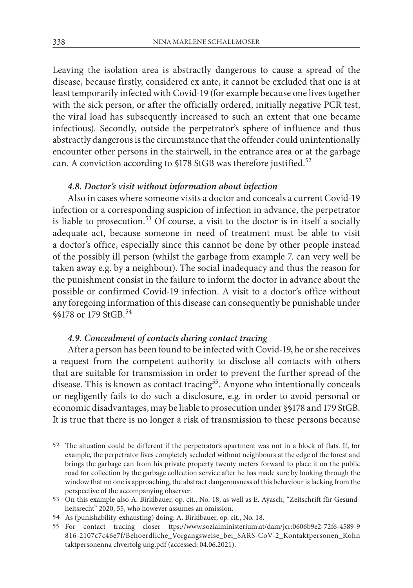Leaving the isolation area is abstractly dangerous to cause a spread of the disease, because firstly, considered ex ante, it cannot be excluded that one is at least temporarily infected with Covid-19 (for example because one lives together with the sick person, or after the officially ordered, initially negative PCR test, the viral load has subsequently increased to such an extent that one became infectious). Secondly, outside the perpetrator's sphere of influence and thus abstractly dangerous is the circumstance that the offender could unintentionally encounter other persons in the stairwell, in the entrance area or at the garbage can. A conviction according to §178 StGB was therefore justified.<sup>52</sup>

#### *4.8. Doctor's visit without information about infection*

Also in cases where someone visits a doctor and conceals a current Covid-19 infection or a corresponding suspicion of infection in advance, the perpetrator is liable to prosecution.<sup>53</sup> Of course, a visit to the doctor is in itself a socially adequate act, because someone in need of treatment must be able to visit a doctor's office, especially since this cannot be done by other people instead of the possibly ill person (whilst the garbage from example 7. can very well be taken away e.g. by a neighbour). The social inadequacy and thus the reason for the punishment consist in the failure to inform the doctor in advance about the possible or confirmed Covid-19 infection. A visit to a doctor's office without any foregoing information of this disease can consequently be punishable under §§178 or 179 StGB.<sup>54</sup>

# *4.9. Concealment of contacts during contact tracing*

After a person has been found to be infected with Covid-19, he or she receives a request from the competent authority to disclose all contacts with others that are suitable for transmission in order to prevent the further spread of the disease. This is known as contact tracing<sup>55</sup>. Anyone who intentionally conceals or negligently fails to do such a disclosure, e.g. in order to avoid personal or economic disadvantages, may be liable to prosecution under §§178 and 179 StGB. It is true that there is no longer a risk of transmission to these persons because

<sup>52</sup> The situation could be different if the perpetrator's apartment was not in a block of flats. If, for example, the perpetrator lives completely secluded without neighbours at the edge of the forest and brings the garbage can from his private property twenty meters forward to place it on the public road for collection by the garbage collection service after he has made sure by looking through the window that no one is approaching, the abstract dangerousness of this behaviour is lacking from the perspective of the accompanying observer.

<sup>53</sup> On this example also A. Birklbauer, op. cit., No. 18; as well as E. Ayasch, "Zeitschrift für Gesundheitsrecht" 2020, 55, who however assumes an omission.

<sup>54</sup> As (punishability-exhausting) doing: A. Birklbauer, op. cit., No. 18.

<sup>55</sup> For contact tracing closer ttps://www.sozialministerium.at/dam/jcr:0606b9e2-72f6-4589-9 816-2107c7c46e7f/Behoerdliche\_Vorgangsweise\_bei\_SARS-CoV-2\_Kontaktpersonen\_Kohn taktpersonenna chverfolg ung.pdf (accessed: 04.06.2021).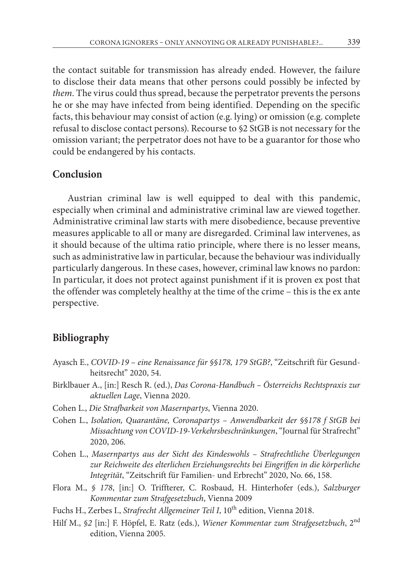the contact suitable for transmission has already ended. However, the failure to disclose their data means that other persons could possibly be infected by *them*. The virus could thus spread, because the perpetrator prevents the persons he or she may have infected from being identified. Depending on the specific facts, this behaviour may consist of action (e.g. lying) or omission (e.g. complete refusal to disclose contact persons). Recourse to §2 StGB is not necessary for the omission variant; the perpetrator does not have to be a guarantor for those who could be endangered by his contacts.

# **Conclusion**

Austrian criminal law is well equipped to deal with this pandemic, especially when criminal and administrative criminal law are viewed together. Administrative criminal law starts with mere disobedience, because preventive measures applicable to all or many are disregarded. Criminal law intervenes, as it should because of the ultima ratio principle, where there is no lesser means, such as administrative law in particular, because the behaviour was individually particularly dangerous. In these cases, however, criminal law knows no pardon: In particular, it does not protect against punishment if it is proven ex post that the offender was completely healthy at the time of the crime – this is the ex ante perspective.

# **Bibliography**

- Ayasch E., *COVID-19 eine Renaissance für §§178, 179 StGB?*, "Zeitschrift für Gesundheitsrecht" 2020, 54.
- Birklbauer A., [in:] Resch R. (ed.), *Das Corona-Handbuch Österreichs Rechtspraxis zur aktuellen Lage*, Vienna 2020.
- Cohen L., *Die Strafbarkeit von Masernpartys*, Vienna 2020.
- Cohen L., *Isolation, Quarantäne, Coronapartys Anwendbarkeit der §§178 f StGB bei Missachtung von COVID-19-Verkehrsbeschränkungen*, "Journal für Strafrecht" 2020, 206.
- Cohen L., *Masernpartys aus der Sicht des Kindeswohls Strafrechtliche Überlegungen zur Reichweite des elterlichen Erziehungsrechts bei Eingriffen in die körperliche Integrität*, "Zeitschrift für Familien- und Erbrecht" 2020, No. 66, 158.
- Flora M., *§ 178*, [in:] O. Triffterer, C. Rosbaud, H. Hinterhofer (eds.), *Salzburger Kommentar zum Strafgesetzbuch*, Vienna 2009
- Fuchs H., Zerbes I., *Strafrecht Allgemeiner Teil I*, 10<sup>th</sup> edition, Vienna 2018.
- Hilf M., *§2* [in:] F. Höpfel, E. Ratz (eds.), *Wiener Kommentar zum Strafgesetzbuch*, 2nd edition, Vienna 2005.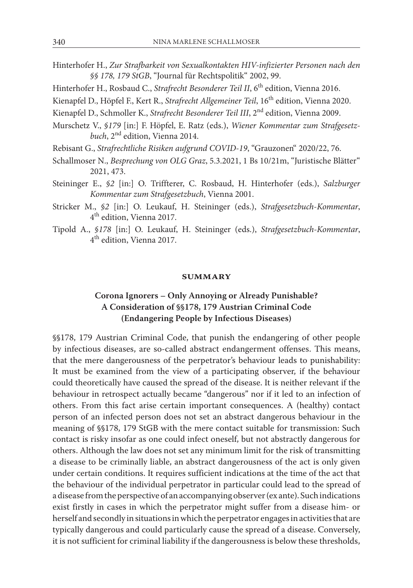- Hinterhofer H., *Zur Strafbarkeit von Sexualkontakten HIV-infizierter Personen nach den §§ 178, 179 StGB*, "Journal für Rechtspolitik" 2002, 99.
- Hinterhofer H., Rosbaud C., *Strafrecht Besonderer Teil II*, 6<sup>th</sup> edition, Vienna 2016.
- Kienapfel D., Höpfel F., Kert R., *Strafrecht Allgemeiner Teil*, 16<sup>th</sup> edition, Vienna 2020.
- Kienapfel D., Schmoller K., *Strafrecht Besonderer Teil III*, 2nd edition, Vienna 2009.
- Murschetz V., *§179* [in:] F. Höpfel, E. Ratz (eds.), *Wiener Kommentar zum Strafgesetzbuch*, 2nd edition, Vienna 2014.
- Rebisant G., *Strafrechtliche Risiken aufgrund COVID-19*, "Grauzonen" 2020/22, 76.
- Schallmoser N., *Besprechung von OLG Graz*, 5.3.2021, 1 Bs 10/21m, "Juristische Blätter" 2021, 473.
- Steininger E., *§2* [in:] O. Triffterer, C. Rosbaud, H. Hinterhofer (eds.), *Salzburger Kommentar zum Strafgesetzbuch*, Vienna 2001.
- Stricker M., *§2* [in:] O. Leukauf, H. Steininger (eds.), *Strafgesetzbuch-Kommentar*, 4th edition, Vienna 2017.
- Tipold A., *§178* [in:] O. Leukauf, H. Steininger (eds.), *Strafgesetzbuch-Kommentar*, 4th edition, Vienna 2017.

#### **summary**

# **Corona Ignorers – Only Annoying or Already Punishable? A Consideration of §§178, 179 Austrian Criminal Code (Endangering People by Infectious Diseases)**

§§178, 179 Austrian Criminal Code, that punish the endangering of other people by infectious diseases, are so-called abstract endangerment offenses. This means, that the mere dangerousness of the perpetrator's behaviour leads to punishability: It must be examined from the view of a participating observer, if the behaviour could theoretically have caused the spread of the disease. It is neither relevant if the behaviour in retrospect actually became "dangerous" nor if it led to an infection of others. From this fact arise certain important consequences. A (healthy) contact person of an infected person does not set an abstract dangerous behaviour in the meaning of §§178, 179 StGB with the mere contact suitable for transmission: Such contact is risky insofar as one could infect oneself, but not abstractly dangerous for others. Although the law does not set any minimum limit for the risk of transmitting a disease to be criminally liable, an abstract dangerousness of the act is only given under certain conditions. It requires sufficient indications at the time of the act that the behaviour of the individual perpetrator in particular could lead to the spread of a disease from the perspective of an accompanying observer (ex ante). Such indications exist firstly in cases in which the perpetrator might suffer from a disease him- or herself and secondly in situations in which the perpetrator engages in activities that are typically dangerous and could particularly cause the spread of a disease. Conversely, it is not sufficient for criminal liability if the dangerousness is below these thresholds,